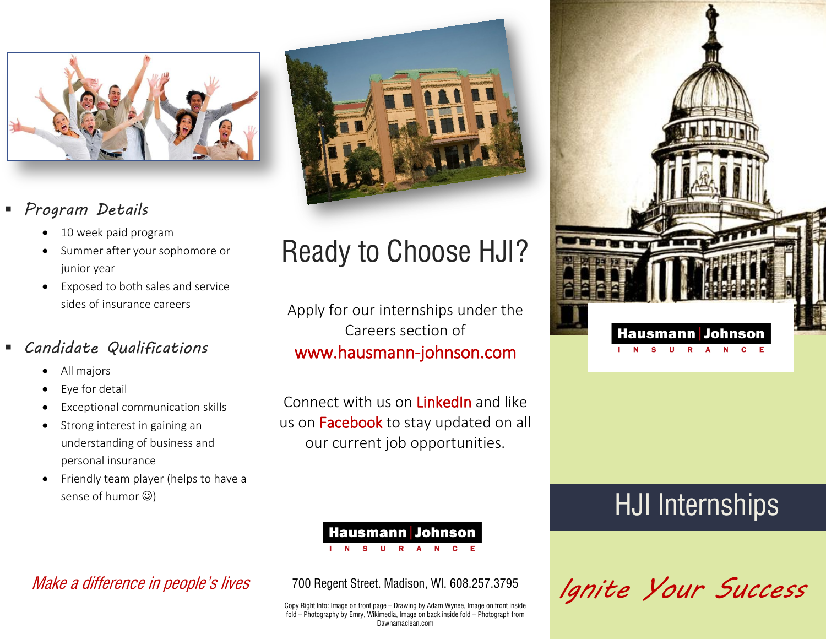

### *Program Details*

- 10 week paid program
- Summer after your sophomore or junior year
- Exposed to both sales and service sides of insurance careers

### *Candidate Qualifications*

- All majors
- Eye for detail
- Exceptional communication skills
- Strong interest in gaining an understanding of business and personal insurance
- Friendly team player (helps to have a sense of humor  $\circledcirc$ )



# Ready to Choose HJI?

Apply for our internships under the Careers section of www.hausmann-johnson.com

Connect with us on LinkedIn and like us on **Facebook** to stay updated on all our current job opportunities.

### **Hausmann Johnson**

 $\mathbf{u}$  $R$   $\Delta$ 

Make a difference in people's lives

700 Regent Street. Madison, WI. 608.257.3795

Copy Right Info: Image on front page – Drawing by Adam Wynee, Image on front inside fold – Photography by Emry, Wikimedia, Image on back inside fold – Photograph from Dawnamaclean.com



## HJI Internships